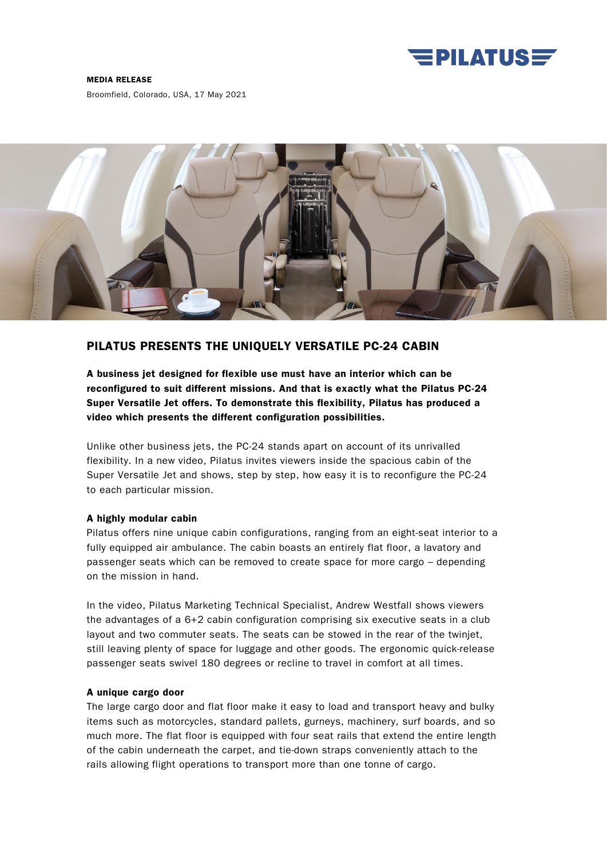

#### MEDIA RELEASE

Broomfield, Colorado, USA, 17 May 2021



# PILATUS PRESENTS THE UNIQUELY VERSATILE PC-24 CABIN

A business jet designed for flexible use must have an interior which can be reconfigured to suit different missions. And that is exactly what the Pilatus PC-24 Super Versatile Jet offers. To demonstrate this flexibility, Pilatus has produced a video which presents the different configuration possibilities.

Unlike other business jets, the PC-24 stands apart on account of its unrivalled flexibility. In a new video, Pilatus invites viewers inside the spacious cabin of the Super Versatile Jet and shows, step by step, how easy it is to reconfigure the PC-24 to each particular mission.

## A highly modular cabin

Pilatus offers nine unique cabin configurations, ranging from an eight-seat interior to a fully equipped air ambulance. The cabin boasts an entirely flat floor, a lavatory and passenger seats which can be removed to create space for more cargo – depending on the mission in hand.

In the video, Pilatus Marketing Technical Specialist, Andrew Westfall shows viewers the advantages of a 6+2 cabin configuration comprising six executive seats in a club layout and two commuter seats. The seats can be stowed in the rear of the twinjet, still leaving plenty of space for luggage and other goods. The ergonomic quick-release passenger seats swivel 180 degrees or recline to travel in comfort at all times.

### A unique cargo door

The large cargo door and flat floor make it easy to load and transport heavy and bulky items such as motorcycles, standard pallets, gurneys, machinery, surf boards, and so much more. The flat floor is equipped with four seat rails that extend the entire length of the cabin underneath the carpet, and tie-down straps conveniently attach to the rails allowing flight operations to transport more than one tonne of cargo.